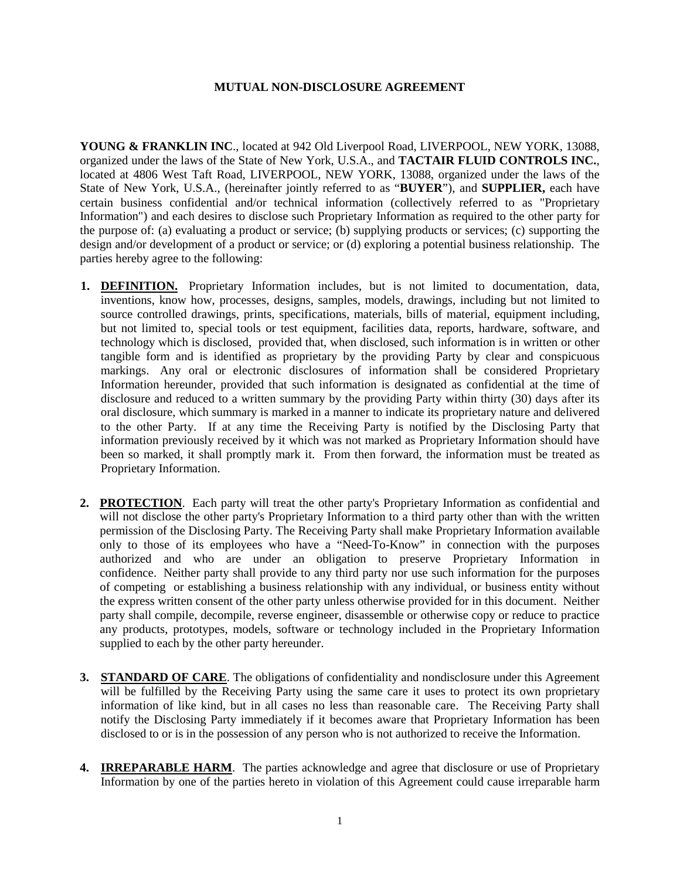## **MUTUAL NON-DISCLOSURE AGREEMENT**

**YOUNG & FRANKLIN INC**., located at 942 Old Liverpool Road, LIVERPOOL, NEW YORK, 13088, organized under the laws of the State of New York, U.S.A., and **TACTAIR FLUID CONTROLS INC.**, located at 4806 West Taft Road, LIVERPOOL, NEW YORK, 13088, organized under the laws of the State of New York, U.S.A., (hereinafter jointly referred to as "**BUYER**"), and **SUPPLIER,** each have certain business confidential and/or technical information (collectively referred to as "Proprietary Information") and each desires to disclose such Proprietary Information as required to the other party for the purpose of: (a) evaluating a product or service; (b) supplying products or services; (c) supporting the design and/or development of a product or service; or (d) exploring a potential business relationship. The parties hereby agree to the following:

- **1. DEFINITION.** Proprietary Information includes, but is not limited to documentation, data, inventions, know how, processes, designs, samples, models, drawings, including but not limited to source controlled drawings, prints, specifications, materials, bills of material, equipment including, but not limited to, special tools or test equipment, facilities data, reports, hardware, software, and technology which is disclosed, provided that, when disclosed, such information is in written or other tangible form and is identified as proprietary by the providing Party by clear and conspicuous markings. Any oral or electronic disclosures of information shall be considered Proprietary Information hereunder, provided that such information is designated as confidential at the time of disclosure and reduced to a written summary by the providing Party within thirty (30) days after its oral disclosure, which summary is marked in a manner to indicate its proprietary nature and delivered to the other Party. If at any time the Receiving Party is notified by the Disclosing Party that information previously received by it which was not marked as Proprietary Information should have been so marked, it shall promptly mark it. From then forward, the information must be treated as Proprietary Information.
- **2. PROTECTION**. Each party will treat the other party's Proprietary Information as confidential and will not disclose the other party's Proprietary Information to a third party other than with the written permission of the Disclosing Party. The Receiving Party shall make Proprietary Information available only to those of its employees who have a "Need-To-Know" in connection with the purposes authorized and who are under an obligation to preserve Proprietary Information in confidence. Neither party shall provide to any third party nor use such information for the purposes of competing or establishing a business relationship with any individual, or business entity without the express written consent of the other party unless otherwise provided for in this document. Neither party shall compile, decompile, reverse engineer, disassemble or otherwise copy or reduce to practice any products, prototypes, models, software or technology included in the Proprietary Information supplied to each by the other party hereunder.
- **3. STANDARD OF CARE**. The obligations of confidentiality and nondisclosure under this Agreement will be fulfilled by the Receiving Party using the same care it uses to protect its own proprietary information of like kind, but in all cases no less than reasonable care. The Receiving Party shall notify the Disclosing Party immediately if it becomes aware that Proprietary Information has been disclosed to or is in the possession of any person who is not authorized to receive the Information.
- **4. IRREPARABLE HARM**. The parties acknowledge and agree that disclosure or use of Proprietary Information by one of the parties hereto in violation of this Agreement could cause irreparable harm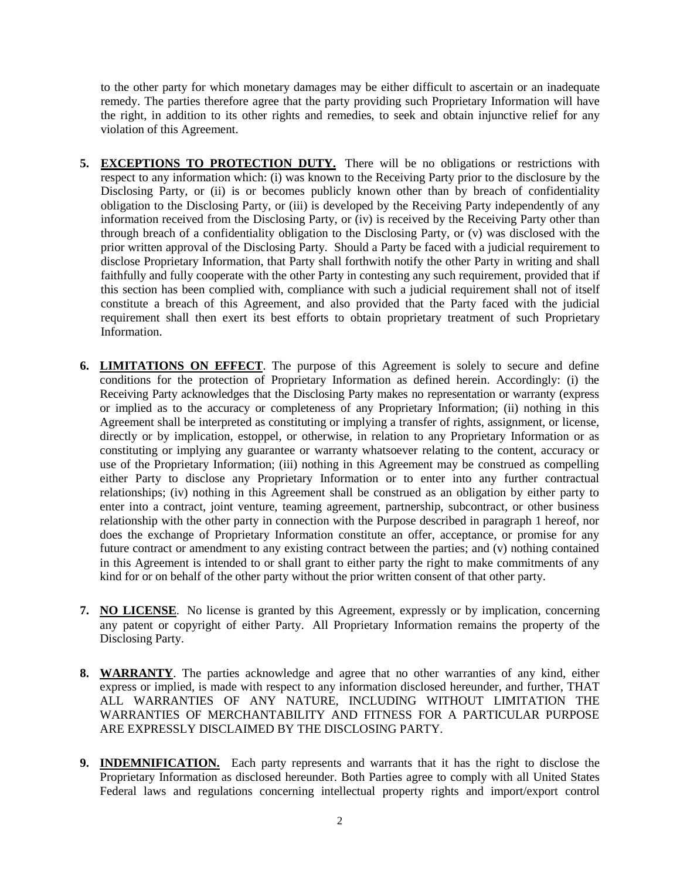to the other party for which monetary damages may be either difficult to ascertain or an inadequate remedy. The parties therefore agree that the party providing such Proprietary Information will have the right, in addition to its other rights and remedies, to seek and obtain injunctive relief for any violation of this Agreement.

- **5. EXCEPTIONS TO PROTECTION DUTY.** There will be no obligations or restrictions with respect to any information which: (i) was known to the Receiving Party prior to the disclosure by the Disclosing Party, or (ii) is or becomes publicly known other than by breach of confidentiality obligation to the Disclosing Party, or (iii) is developed by the Receiving Party independently of any information received from the Disclosing Party, or (iv) is received by the Receiving Party other than through breach of a confidentiality obligation to the Disclosing Party, or (v) was disclosed with the prior written approval of the Disclosing Party. Should a Party be faced with a judicial requirement to disclose Proprietary Information, that Party shall forthwith notify the other Party in writing and shall faithfully and fully cooperate with the other Party in contesting any such requirement, provided that if this section has been complied with, compliance with such a judicial requirement shall not of itself constitute a breach of this Agreement, and also provided that the Party faced with the judicial requirement shall then exert its best efforts to obtain proprietary treatment of such Proprietary Information.
- **6. LIMITATIONS ON EFFECT**. The purpose of this Agreement is solely to secure and define conditions for the protection of Proprietary Information as defined herein. Accordingly: (i) the Receiving Party acknowledges that the Disclosing Party makes no representation or warranty (express or implied as to the accuracy or completeness of any Proprietary Information; (ii) nothing in this Agreement shall be interpreted as constituting or implying a transfer of rights, assignment, or license, directly or by implication, estoppel, or otherwise, in relation to any Proprietary Information or as constituting or implying any guarantee or warranty whatsoever relating to the content, accuracy or use of the Proprietary Information; (iii) nothing in this Agreement may be construed as compelling either Party to disclose any Proprietary Information or to enter into any further contractual relationships; (iv) nothing in this Agreement shall be construed as an obligation by either party to enter into a contract, joint venture, teaming agreement, partnership, subcontract, or other business relationship with the other party in connection with the Purpose described in paragraph 1 hereof, nor does the exchange of Proprietary Information constitute an offer, acceptance, or promise for any future contract or amendment to any existing contract between the parties; and (v) nothing contained in this Agreement is intended to or shall grant to either party the right to make commitments of any kind for or on behalf of the other party without the prior written consent of that other party.
- **7. NO LICENSE**. No license is granted by this Agreement, expressly or by implication, concerning any patent or copyright of either Party. All Proprietary Information remains the property of the Disclosing Party.
- **8. WARRANTY**. The parties acknowledge and agree that no other warranties of any kind, either express or implied, is made with respect to any information disclosed hereunder, and further, THAT ALL WARRANTIES OF ANY NATURE, INCLUDING WITHOUT LIMITATION THE WARRANTIES OF MERCHANTABILITY AND FITNESS FOR A PARTICULAR PURPOSE ARE EXPRESSLY DISCLAIMED BY THE DISCLOSING PARTY.
- **9. INDEMNIFICATION.** Each party represents and warrants that it has the right to disclose the Proprietary Information as disclosed hereunder. Both Parties agree to comply with all United States Federal laws and regulations concerning intellectual property rights and import/export control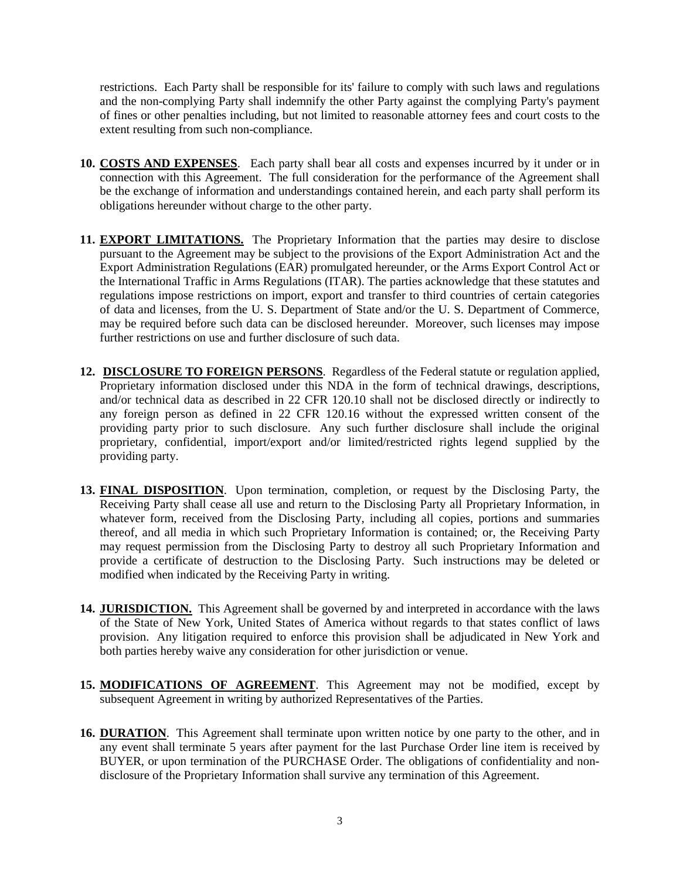restrictions. Each Party shall be responsible for its' failure to comply with such laws and regulations and the non-complying Party shall indemnify the other Party against the complying Party's payment of fines or other penalties including, but not limited to reasonable attorney fees and court costs to the extent resulting from such non-compliance.

- **10. COSTS AND EXPENSES**. Each party shall bear all costs and expenses incurred by it under or in connection with this Agreement. The full consideration for the performance of the Agreement shall be the exchange of information and understandings contained herein, and each party shall perform its obligations hereunder without charge to the other party.
- 11. **EXPORT LIMITATIONS.** The Proprietary Information that the parties may desire to disclose pursuant to the Agreement may be subject to the provisions of the Export Administration Act and the Export Administration Regulations (EAR) promulgated hereunder, or the Arms Export Control Act or the International Traffic in Arms Regulations (ITAR). The parties acknowledge that these statutes and regulations impose restrictions on import, export and transfer to third countries of certain categories of data and licenses, from the U. S. Department of State and/or the U. S. Department of Commerce, may be required before such data can be disclosed hereunder. Moreover, such licenses may impose further restrictions on use and further disclosure of such data.
- **12. DISCLOSURE TO FOREIGN PERSONS**. Regardless of the Federal statute or regulation applied, Proprietary information disclosed under this NDA in the form of technical drawings, descriptions, and/or technical data as described in 22 CFR 120.10 shall not be disclosed directly or indirectly to any foreign person as defined in 22 CFR 120.16 without the expressed written consent of the providing party prior to such disclosure. Any such further disclosure shall include the original proprietary, confidential, import/export and/or limited/restricted rights legend supplied by the providing party.
- **13. FINAL DISPOSITION**. Upon termination, completion, or request by the Disclosing Party, the Receiving Party shall cease all use and return to the Disclosing Party all Proprietary Information, in whatever form, received from the Disclosing Party, including all copies, portions and summaries thereof, and all media in which such Proprietary Information is contained; or, the Receiving Party may request permission from the Disclosing Party to destroy all such Proprietary Information and provide a certificate of destruction to the Disclosing Party. Such instructions may be deleted or modified when indicated by the Receiving Party in writing.
- **14. JURISDICTION.** This Agreement shall be governed by and interpreted in accordance with the laws of the State of New York, United States of America without regards to that states conflict of laws provision. Any litigation required to enforce this provision shall be adjudicated in New York and both parties hereby waive any consideration for other jurisdiction or venue.
- **15. MODIFICATIONS OF AGREEMENT**. This Agreement may not be modified, except by subsequent Agreement in writing by authorized Representatives of the Parties.
- **16. DURATION**. This Agreement shall terminate upon written notice by one party to the other, and in any event shall terminate 5 years after payment for the last Purchase Order line item is received by BUYER, or upon termination of the PURCHASE Order. The obligations of confidentiality and nondisclosure of the Proprietary Information shall survive any termination of this Agreement.